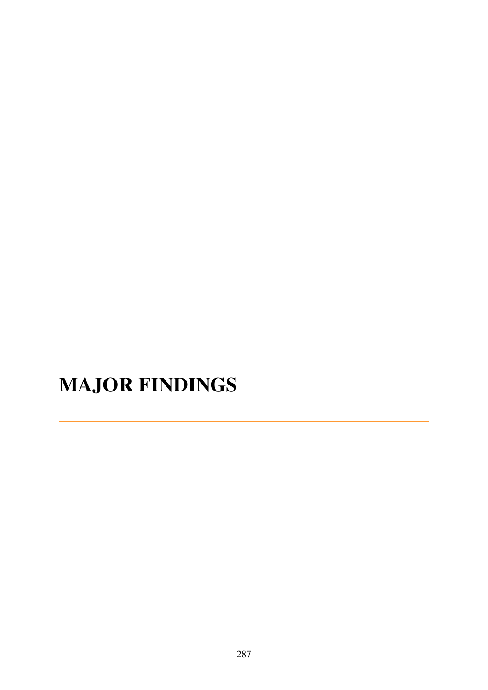## **MAJOR FINDINGS**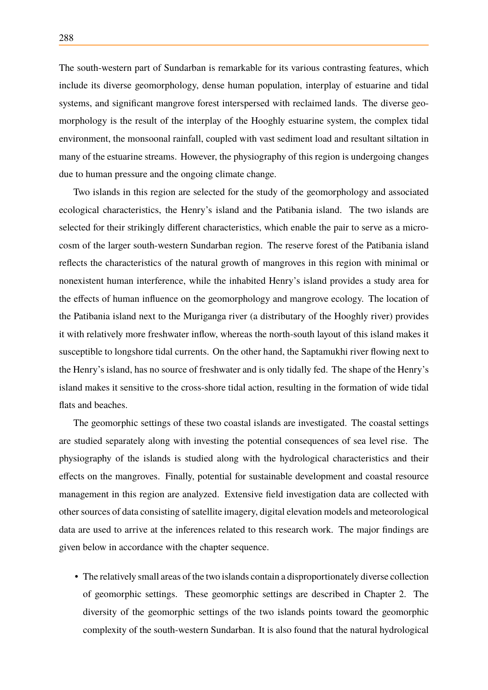The south-western part of Sundarban is remarkable for its various contrasting features, which include its diverse geomorphology, dense human population, interplay of estuarine and tidal systems, and significant mangrove forest interspersed with reclaimed lands. The diverse geomorphology is the result of the interplay of the Hooghly estuarine system, the complex tidal environment, the monsoonal rainfall, coupled with vast sediment load and resultant siltation in many of the estuarine streams. However, the physiography of this region is undergoing changes due to human pressure and the ongoing climate change.

Two islands in this region are selected for the study of the geomorphology and associated ecological characteristics, the Henry's island and the Patibania island. The two islands are selected for their strikingly different characteristics, which enable the pair to serve as a microcosm of the larger south-western Sundarban region. The reserve forest of the Patibania island reflects the characteristics of the natural growth of mangroves in this region with minimal or nonexistent human interference, while the inhabited Henry's island provides a study area for the effects of human influence on the geomorphology and mangrove ecology. The location of the Patibania island next to the Muriganga river (a distributary of the Hooghly river) provides it with relatively more freshwater inflow, whereas the north-south layout of this island makes it susceptible to longshore tidal currents. On the other hand, the Saptamukhi river flowing next to the Henry's island, has no source of freshwater and is only tidally fed. The shape of the Henry's island makes it sensitive to the cross-shore tidal action, resulting in the formation of wide tidal flats and beaches.

The geomorphic settings of these two coastal islands are investigated. The coastal settings are studied separately along with investing the potential consequences of sea level rise. The physiography of the islands is studied along with the hydrological characteristics and their effects on the mangroves. Finally, potential for sustainable development and coastal resource management in this region are analyzed. Extensive field investigation data are collected with other sources of data consisting of satellite imagery, digital elevation models and meteorological data are used to arrive at the inferences related to this research work. The major findings are given below in accordance with the chapter sequence.

• The relatively small areas of the two islands contain a disproportionately diverse collection of geomorphic settings. These geomorphic settings are described in [Chapter 2.](#page--1-0) The diversity of the geomorphic settings of the two islands points toward the geomorphic complexity of the south-western Sundarban. It is also found that the natural hydrological